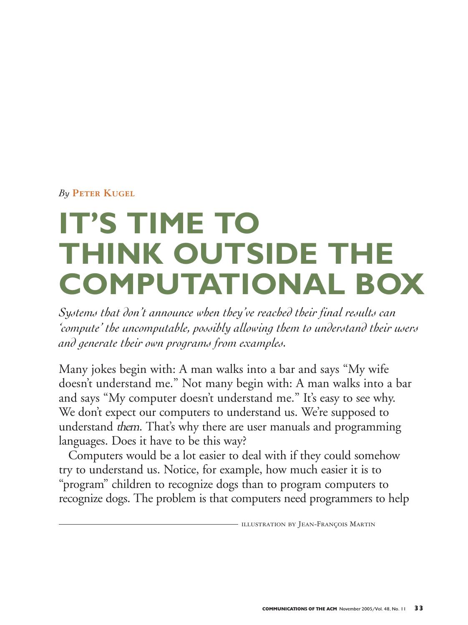### *By* **Peter Kugel**

# **IT'S TIME TO THINK OUTSIDE THE COMPUTATIONAL BOX**

*Systems that don't announce when they've reached their final results can 'compute' the uncomputable, possibly allowing them to understand their users and generate their own programs from examples.* 

Many jokes begin with: A man walks into a bar and says "My wife doesn't understand me." Not many begin with: A man walks into a bar and says "My computer doesn't understand me." It's easy to see why. We don't expect our computers to understand us. We're supposed to understand them. That's why there are user manuals and programming languages. Does it have to be this way?

Computers would be a lot easier to deal with if they could somehow try to understand us. Notice, for example, how much easier it is to "program" children to recognize dogs than to program computers to recognize dogs. The problem is that computers need programmers to help

– illustration by Jean-François Martin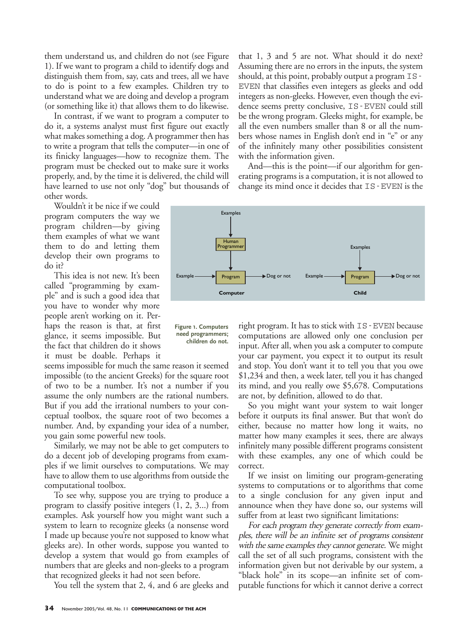them understand us, and children do not (see Figure 1). If we want to program a child to identify dogs and distinguish them from, say, cats and trees, all we have to do is point to a few examples. Children try to understand what we are doing and develop a program (or something like it) that allows them to do likewise.

In contrast, if we want to program a computer to do it, a systems analyst must first figure out exactly what makes something a dog. A programmer then has to write a program that tells the computer—in one of its finicky languages—how to recognize them. The program must be checked out to make sure it works properly, and, by the time it is delivered, the child will have learned to use not only "dog" but thousands of other words.

Wouldn't it be nice if we could program computers the way we program children—by giving them examples of what we want them to do and letting them develop their own programs to do it?

This idea is not new. It's been called "programming by example" and is such a good idea that you have to wonder why more people aren't working on it. Perhaps the reason is that, at first glance, it seems impossible. But the fact that children do it shows it must be doable. Perhaps it

seems impossible for much the same reason it seemed impossible (to the ancient Greeks) for the square root of two to be a number. It's not a number if you assume the only numbers are the rational numbers. But if you add the irrational numbers to your conceptual toolbox, the square root of two becomes a number. And, by expanding your idea of a number, you gain some powerful new tools.

Similarly, we may not be able to get computers to do a decent job of developing programs from examples if we limit ourselves to computations. We may have to allow them to use algorithms from outside the computational toolbox.

To see why, suppose you are trying to produce a program to classify positive integers (1, 2, 3...) from examples. Ask yourself how you might want such a system to learn to recognize gleeks (a nonsense word I made up because you're not supposed to know what gleeks are). In other words, suppose you wanted to develop a system that would go from examples of numbers that are gleeks and non-gleeks to a program that recognized gleeks it had not seen before.

You tell the system that 2, 4, and 6 are gleeks and

that 1, 3 and 5 are not. What should it do next? Assuming there are no errors in the inputs, the system should, at this point, probably output a program IS-EVEN that classifies even integers as gleeks and odd integers as non-gleeks. However, even though the evidence seems pretty conclusive, IS-EVEN could still be the wrong program. Gleeks might, for example, be all the even numbers smaller than 8 or all the numbers whose names in English don't end in "e" or any of the infinitely many other possibilities consistent with the information given.

And—this is the point—if our algorithm for generating programs is a computation, it is not allowed to change its mind once it decides that IS-EVEN is the





right program. It has to stick with IS-EVEN because computations are allowed only one conclusion per input. After all, when you ask a computer to compute **Kugel fig 1 (11/05)** your car payment, you expect it to output its result and stop. You don't want it to tell you that you owe \$1,234 and then, a week later, tell you it has changed its mind, and you really owe \$5,678. Computations are not, by definition, allowed to do that.

So you might want your system to wait longer before it outputs its final answer. But that won't do either, because no matter how long it waits, no matter how many examples it sees, there are always infinitely many possible different programs consistent with these examples, any one of which could be correct.

If we insist on limiting our program-generating systems to computations or to algorithms that come to a single conclusion for any given input and announce when they have done so, our systems will suffer from at least two significant limitations:

For each program they generate correctly from examples, there will be an infinite set of programs consistent with the same examples they cannot generate. We might call the set of all such programs, consistent with the information given but not derivable by our system, a "black hole" in its scope—an infinite set of computable functions for which it cannot derive a correct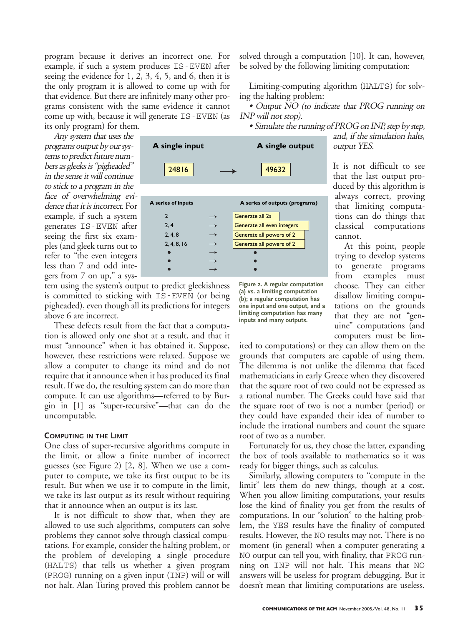program because it derives an incorrect one. For example, if such a system produces IS-EVEN after seeing the evidence for 1, 2, 3, 4, 5, and 6, then it is the only program it is allowed to come up with for that evidence. But there are infinitely many other programs consistent with the same evidence it cannot come up with, because it will generate IS-EVEN (as its only program) for them.

Any system that uses the programs output by our systems to predict future numbers as gleeks is "pigheaded" in the sense it will continue to stick to a program in the face of overwhelming evidence that it is incorrect. For example, if such a system generates IS-EVEN after seeing the first six examples (and gleek turns out to refer to "the even integers less than 7 and odd integers from 7 on up," a sys-



**(a) vs. a limiting computation (b); a regular computation has one input and one output, and a limiting computation has many**  $inputs$  and many outputs.

tem using the system's output to predict gleekishness is committed to sticking with IS-EVEN (or being pigheaded), even though all its predictions for integers above 6 are incorrect.

These defects result from the fact that a computation is allowed only one shot at a result, and that it must "announce" when it has obtained it. Suppose, however, these restrictions were relaxed. Suppose we allow a computer to change its mind and do not require that it announce when it has produced its final result. If we do, the resulting system can do more than 2 compute. It can use algorithms—referred to by Burgin in [1] as "super-recursive"—that can do the uncomputable.

#### **COMPUTING IN THE LIMIT**

One class of super-recursive algorithms compute in the limit, or allow a finite number of incorrect guesses (see Figure 2) [2, 8]. When we use a computer to compute, we take its first output to be its result. But when we use it to compute in the limit, we take its last output as its result without requiring that it announce when an output is its last.

It is not difficult to show that, when they are allowed to use such algorithms, computers can solve problems they cannot solve through classical computations. For example, consider the halting problem, or the problem of developing a single procedure (HALTS) that tells us whether a given program (PROG) running on a given input (INP) will or will not halt. Alan Turing proved this problem cannot be solved through a computation [10]. It can, however, be solved by the following limiting computation:

Limiting-computing algorithm (HALTS) for solving the halting problem:

• Output NO (to indicate that PROG running on INP will not stop).

• Simulate the running of PROG on INP, step by step,

and, if the simulation halts, output YES.

It is not difficult to see that the last output produced by this algorithm is always correct, proving that limiting computations can do things that classical computations cannot.

At this point, people trying to develop systems to generate programs from examples must choose. They can either disallow limiting computations on the grounds that they are not "genuine" computations (and computers must be lim-

ited to computations) or they can allow them on the grounds that computers are capable of using them. The dilemma is not unlike the dilemma that faced mathematicians in early Greece when they discovered that the square root of two could not be expressed as a rational number. The Greeks could have said that the square root of two is not a number (period) or they could have expanded their idea of number to include the irrational numbers and count the square root of two as a number. 2.4.8 <br> **A series of 2**<br> **A series of the contribution**<br> **A** cannot.<br> **A** control contribution<br> **A** series of the control control control control control control control<br> **A** this perform exam<br>
predict gleekishness Figure

> Fortunately for us, they chose the latter, expanding the box of tools available to mathematics so it was ready for bigger things, such as calculus.

> Similarly, allowing computers to "compute in the limit" lets them do new things, though at a cost. When you allow limiting computations, your results lose the kind of finality you get from the results of computations. In our "solution" to the halting problem, the YES results have the finality of computed results. However, the NO results may not. There is no moment (in general) when a computer generating a NO output can tell you, with finality, that PROG running on INP will not halt. This means that NO answers will be useless for program debugging. But it doesn't mean that limiting computations are useless.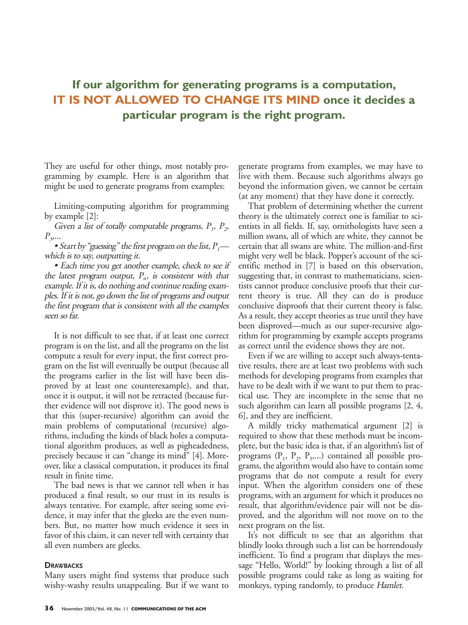## **If our algorithm for generating programs is a computation, IT IS NOT ALLOWED TO CHANGE ITS MIND once it decides a particular program is the right program.**

They are useful for other things, most notably programming by example. Here is an algorithm that might be used to generate programs from examples:

Limiting-computing algorithm for programming by example [2]:

Given a list of totally computable programs,  $P_1$ ,  $P_2$ ,  $P_{3}^{\prime}...$ 

 $\bullet$  Start by "guessing" the first program on the list,  $P_1$  which is to say, outputting it.

• Each time you get another example, check to see if the latest program output,  $P_n$ , is consistent with that example. If it is, do nothing and continue reading examples. If it is not, go down the list of programs and output the first program that is consistent with all the examples seen so far.

It is not difficult to see that, if at least one correct program is on the list, and all the programs on the list compute a result for every input, the first correct program on the list will eventually be output (because all the programs earlier in the list will have been disproved by at least one counterexample), and that, once it is output, it will not be retracted (because further evidence will not disprove it). The good news is that this (super-recursive) algorithm can avoid the main problems of computational (recursive) algorithms, including the kinds of black holes a computational algorithm produces, as well as pigheadedness, precisely because it can "change its mind" [4]. Moreover, like a classical computation, it produces its final result in finite time.

The bad news is that we cannot tell when it has produced a final result, so our trust in its results is always tentative. For example, after seeing some evidence, it may infer that the gleeks are the even numbers. But, no matter how much evidence it sees in favor of this claim, it can never tell with certainty that all even numbers are gleeks.

#### **DRAWBACKS**

Many users might find systems that produce such wishy-washy results unappealing. But if we want to generate programs from examples, we may have to live with them. Because such algorithms always go beyond the information given, we cannot be certain (at any moment) that they have done it correctly.

That problem of determining whether the current theory is the ultimately correct one is familiar to scientists in all fields. If, say, ornithologists have seen a million swans, all of which are white, they cannot be certain that all swans are white. The million-and-first might very well be black. Popper's account of the scientific method in [7] is based on this observation, suggesting that, in contrast to mathematicians, scientists cannot produce conclusive proofs that their current theory is true. All they can do is produce conclusive disproofs that their current theory is false. As a result, they accept theories as true until they have been disproved—much as our super-recursive algorithm for programming by example accepts programs as correct until the evidence shows they are not.

Even if we are willing to accept such always-tentative results, there are at least two problems with such methods for developing programs from examples that have to be dealt with if we want to put them to practical use. They are incomplete in the sense that no such algorithm can learn all possible programs [2, 4, 6], and they are inefficient.

A mildly tricky mathematical argument [2] is required to show that these methods must be incomplete, but the basic idea is that, if an algorithm's list of programs  $(P_1, P_2, P_3,...)$  contained all possible programs, the algorithm would also have to contain some programs that do not compute a result for every input. When the algorithm considers one of these programs, with an argument for which it produces no result, that algorithm/evidence pair will not be disproved, and the algorithm will not move on to the next program on the list.

It's not difficult to see that an algorithm that blindly looks through such a list can be horrendously inefficient. To find a program that displays the message "Hello, World!" by looking through a list of all possible programs could take as long as waiting for monkeys, typing randomly, to produce Hamlet.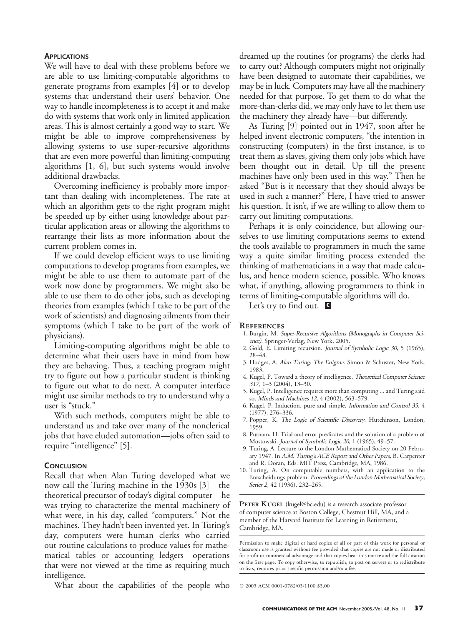#### **APPLICATIONS**

We will have to deal with these problems before we are able to use limiting-computable algorithms to generate programs from examples [4] or to develop systems that understand their users' behavior. One way to handle incompleteness is to accept it and make do with systems that work only in limited application areas. This is almost certainly a good way to start. We might be able to improve comprehensiveness by allowing systems to use super-recursive algorithms that are even more powerful than limiting-computing algorithms [1, 6], but such systems would involve additional drawbacks.

Overcoming inefficiency is probably more important than dealing with incompleteness. The rate at which an algorithm gets to the right program might be speeded up by either using knowledge about particular application areas or allowing the algorithms to rearrange their lists as more information about the current problem comes in.

If we could develop efficient ways to use limiting computations to develop programs from examples, we might be able to use them to automate part of the work now done by programmers. We might also be able to use them to do other jobs, such as developing theories from examples (which I take to be part of the work of scientists) and diagnosing ailments from their symptoms (which I take to be part of the work of physicians).

Limiting-computing algorithms might be able to determine what their users have in mind from how they are behaving. Thus, a teaching program might try to figure out how a particular student is thinking to figure out what to do next. A computer interface might use similar methods to try to understand why a user is "stuck."

With such methods, computers might be able to understand us and take over many of the nonclerical jobs that have eluded automation—jobs often said to require "intelligence" [5].

#### **CONCLUSION**

Recall that when Alan Turing developed what we now call the Turing machine in the 1930s [3]—the theoretical precursor of today's digital computer—he was trying to characterize the mental machinery of what were, in his day, called "computers." Not the machines. They hadn't been invented yet. In Turing's day, computers were human clerks who carried out routine calculations to produce values for mathematical tables or accounting ledgers—operations that were not viewed at the time as requiring much intelligence.

What about the capabilities of the people who

dreamed up the routines (or programs) the clerks had to carry out? Although computers might not originally have been designed to automate their capabilities, we may be in luck. Computers may have all the machinery needed for that purpose. To get them to do what the more-than-clerks did, we may only have to let them use the machinery they already have—but differently.

As Turing [9] pointed out in 1947, soon after he helped invent electronic computers, "the intention in constructing (computers) in the first instance, is to treat them as slaves, giving them only jobs which have been thought out in detail. Up till the present machines have only been used in this way." Then he asked "But is it necessary that they should always be used in such a manner?" Here, I have tried to answer his question. It isn't, if we are willing to allow them to carry out limiting computations.

Perhaps it is only coincidence, but allowing ourselves to use limiting computations seems to extend the tools available to programmers in much the same way a quite similar limiting process extended the thinking of mathematicians in a way that made calculus, and hence modern science, possible. Who knows what, if anything, allowing programmers to think in terms of limiting-computable algorithms will do.

Let's try to find out. **c**

#### **References**

- 1. Burgin, M. Super-Recursive Algorithms (Monographs in Computer Science). Springer-Verlag, New York, 2005.
- 2. Gold, E. Limiting recursion. Journal of Symbolic Logic 30, 5 (1965), 28–48.
- 3. Hodges, A. Alan Turing: The Enigma. Simon & Schuster, New York, 1983.
- 4. Kugel, P. Toward a theory of intelligence. Theoretical Computer Science 317, 1–3 (2004), 13–30.
- 5. Kugel, P. Intelligence requires more than computing ... and Turing said so. Minds and Machines 12, 4 (2002), 563–579.
- 6. Kugel, P. Induction, pure and simple. Information and Control 35, 4 (1977), 276–336.
- 7. Popper, K. The Logic of Scientific Discovery. Hutchinson, London, 1959.
- 8. Putnam, H. Trial and error predicates and the solution of a problem of Mostowski. Journal of Symbolic Logic 20, 1 (1965), 49–57.
- 9. Turing, A. Lecture to the London Mathematical Society on 20 February 1947. In A.M. Turing's ACE Report and Other Papers, B. Carpenter and R. Doran, Eds. MIT Press, Cambridge, MA, 1986.
- 10. Turing, A. On computable numbers, with an application to the Entscheidungs problem. Proceedings of the London Mathematical Society, Series 2, 42 (1936), 232–265.

PETER KUGEL (kugel@bc.edu) is a research associate professor of computer science at Boston College, Chestnut Hill, MA, and a member of the Harvard Institute for Learning in Retirement, Cambridge, MA.

Permission to make digital or hard copies of all or part of this work for personal or classroom use is granted without fee provided that copies are not made or distributed for profit or commercial advantage and that copies bear this notice and the full citation on the first page. To copy otherwise, to republish, to post on servers or to redistribute to lists, requires prior specific permission and/or a fee.

© 2005 ACM 0001-0782/05/1100 \$5.00